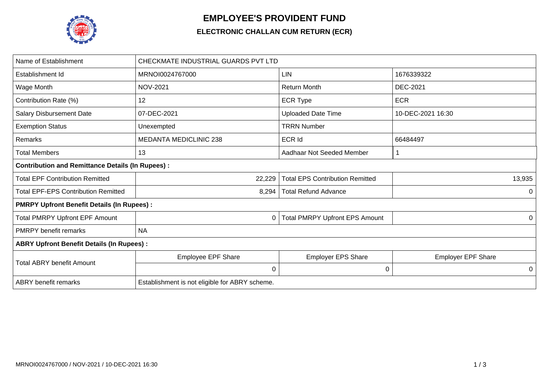

## **EMPLOYEE'S PROVIDENT FUND**

## **ELECTRONIC CHALLAN CUM RETURN (ECR)**

| Name of Establishment                                   | CHECKMATE INDUSTRIAL GUARDS PVT LTD            |                                        |                           |  |  |  |
|---------------------------------------------------------|------------------------------------------------|----------------------------------------|---------------------------|--|--|--|
| Establishment Id                                        | MRNOI0024767000                                | <b>LIN</b>                             | 1676339322                |  |  |  |
| Wage Month                                              | <b>NOV-2021</b>                                | <b>Return Month</b>                    | <b>DEC-2021</b>           |  |  |  |
| Contribution Rate (%)                                   | 12                                             | <b>ECR Type</b>                        | <b>ECR</b>                |  |  |  |
| <b>Salary Disbursement Date</b>                         | 07-DEC-2021                                    | <b>Uploaded Date Time</b>              | 10-DEC-2021 16:30         |  |  |  |
| <b>Exemption Status</b>                                 | Unexempted                                     | <b>TRRN Number</b>                     |                           |  |  |  |
| Remarks                                                 | <b>MEDANTA MEDICLINIC 238</b>                  | ECR Id                                 | 66484497                  |  |  |  |
| <b>Total Members</b>                                    | 13                                             | Aadhaar Not Seeded Member              | 1                         |  |  |  |
| <b>Contribution and Remittance Details (In Rupees):</b> |                                                |                                        |                           |  |  |  |
| <b>Total EPF Contribution Remitted</b>                  | 22,229                                         | <b>Total EPS Contribution Remitted</b> | 13,935                    |  |  |  |
| <b>Total EPF-EPS Contribution Remitted</b>              | 8,294                                          | <b>Total Refund Advance</b>            | 0                         |  |  |  |
| <b>PMRPY Upfront Benefit Details (In Rupees):</b>       |                                                |                                        |                           |  |  |  |
| <b>Total PMRPY Upfront EPF Amount</b>                   | 0                                              | <b>Total PMRPY Upfront EPS Amount</b>  | 0                         |  |  |  |
| <b>PMRPY</b> benefit remarks                            | <b>NA</b>                                      |                                        |                           |  |  |  |
| <b>ABRY Upfront Benefit Details (In Rupees):</b>        |                                                |                                        |                           |  |  |  |
|                                                         | <b>Employee EPF Share</b>                      | <b>Employer EPS Share</b>              | <b>Employer EPF Share</b> |  |  |  |
| <b>Total ABRY benefit Amount</b>                        | 0                                              | 0                                      | 0                         |  |  |  |
| <b>ABRY</b> benefit remarks                             | Establishment is not eligible for ABRY scheme. |                                        |                           |  |  |  |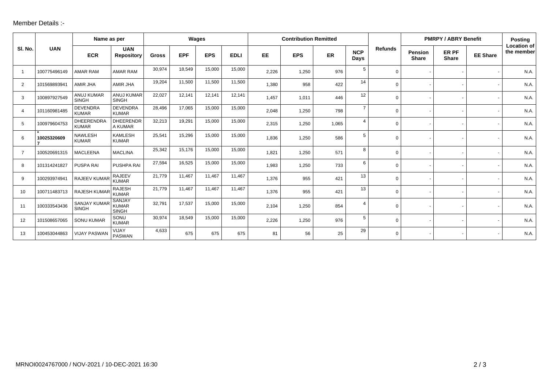## Member Details :-

|                |              | Name as per                         |                                               | Wages        |            |            | <b>Contribution Remitted</b> |           |            |       |                    | <b>PMRPY / ABRY Benefit</b> |                         |                              | <b>Posting</b>  |                                  |
|----------------|--------------|-------------------------------------|-----------------------------------------------|--------------|------------|------------|------------------------------|-----------|------------|-------|--------------------|-----------------------------|-------------------------|------------------------------|-----------------|----------------------------------|
| SI. No.        | <b>UAN</b>   | <b>ECR</b>                          | <b>UAN</b><br><b>Repository</b>               | <b>Gross</b> | <b>EPF</b> | <b>EPS</b> | <b>EDLI</b>                  | <b>EE</b> | <b>EPS</b> | ER    | <b>NCP</b><br>Days | <b>Refunds</b>              | Pension<br><b>Share</b> | <b>ER PF</b><br><b>Share</b> | <b>EE Share</b> | <b>Location of</b><br>the member |
| $\overline{1}$ | 100775496149 | AMAR RAM                            | <b>AMAR RAM</b>                               | 30,974       | 18,549     | 15,000     | 15,000                       | 2,226     | 1,250      | 976   | 5                  | $\Omega$                    |                         |                              |                 | N.A.                             |
| $\overline{2}$ | 101569893941 | AMIR JHA                            | AMIR JHA                                      | 19,204       | 11,500     | 11,500     | 11,500                       | 1,380     | 958        | 422   | 14                 | $\Omega$                    |                         |                              |                 | N.A.                             |
| 3              | 100897927549 | <b>ANUJ KUMAR</b><br><b>SINGH</b>   | <b>ANUJ KUMAR</b><br><b>SINGH</b>             | 22,027       | 12,141     | 12,141     | 12,141                       | 1,457     | 1,011      | 446   | 12 <sup>°</sup>    | $\Omega$                    |                         |                              |                 | N.A.                             |
| $\overline{4}$ | 101160981485 | <b>DEVENDRA</b><br><b>KUMAR</b>     | <b>DEVENDRA</b><br><b>KUMAR</b>               | 28,496       | 17,065     | 15,000     | 15,000                       | 2,048     | 1,250      | 798   | $\overline{7}$     | $\Omega$                    |                         |                              |                 | N.A.                             |
| 5              | 100979604753 | <b>DHEERENDRA</b><br><b>KUMAR</b>   | <b>DHEERENDR</b><br>A KUMAR                   | 32,213       | 19,291     | 15,000     | 15,000                       | 2,315     | 1,250      | 1,065 | 4                  | $\Omega$                    |                         |                              |                 | N.A.                             |
| 6              | 10025320609  | <b>NAWLESH</b><br><b>KUMAR</b>      | <b>KAMLESH</b><br><b>KUMAR</b>                | 25,541       | 15,296     | 15,000     | 15,000                       | 1,836     | 1,250      | 586   | 5                  | $\Omega$                    |                         |                              |                 | N.A.                             |
| $\overline{7}$ | 100520691315 | <b>MACLEENA</b>                     | <b>MACLINA</b>                                | 25,342       | 15,176     | 15,000     | 15,000                       | 1,821     | 1,250      | 571   | 8                  | $\Omega$                    |                         |                              |                 | N.A.                             |
| 8              | 101314241827 | PUSPA RAI                           | PUSHPA RAI                                    | 27,594       | 16,525     | 15,000     | 15,000                       | 1,983     | 1,250      | 733   | 6                  | $\Omega$                    |                         |                              |                 | N.A.                             |
| 9              | 100293974941 | RAJEEV KUMAR                        | <b>RAJEEV</b><br><b>KUMAR</b>                 | 21,779       | 11,467     | 11,467     | 11,467                       | 1,376     | 955        | 421   | 13                 | 0                           |                         |                              |                 | N.A.                             |
| 10             | 100711483713 | <b>RAJESH KUMAR</b>                 | RAJESH<br><b>KUMAR</b>                        | 21,779       | 11,467     | 11,467     | 11,467                       | 1,376     | 955        | 421   | 13                 | $\Omega$                    |                         |                              |                 | N.A.                             |
| 11             | 100333543436 | <b>SANJAY KUMAR</b><br><b>SINGH</b> | <b>SANJAY</b><br><b>KUMAR</b><br><b>SINGH</b> | 32,791       | 17,537     | 15,000     | 15,000                       | 2,104     | 1,250      | 854   | $\overline{4}$     | 0                           |                         |                              |                 | N.A.                             |
| 12             | 101508657065 | <b>SONU KUMAR</b>                   | SONU<br><b>KUMAR</b>                          | 30,974       | 18,549     | 15,000     | 15,000                       | 2,226     | 1,250      | 976   | 5                  | $\Omega$                    |                         |                              |                 | N.A.                             |
| 13             | 100453044863 | <b>VIJAY PASWAN</b>                 | VIJAY<br><b>PASWAN</b>                        | 4,633        | 675        | 675        | 675                          | 81        | 56         | 25    | 29                 | $\Omega$                    |                         |                              |                 | N.A.                             |